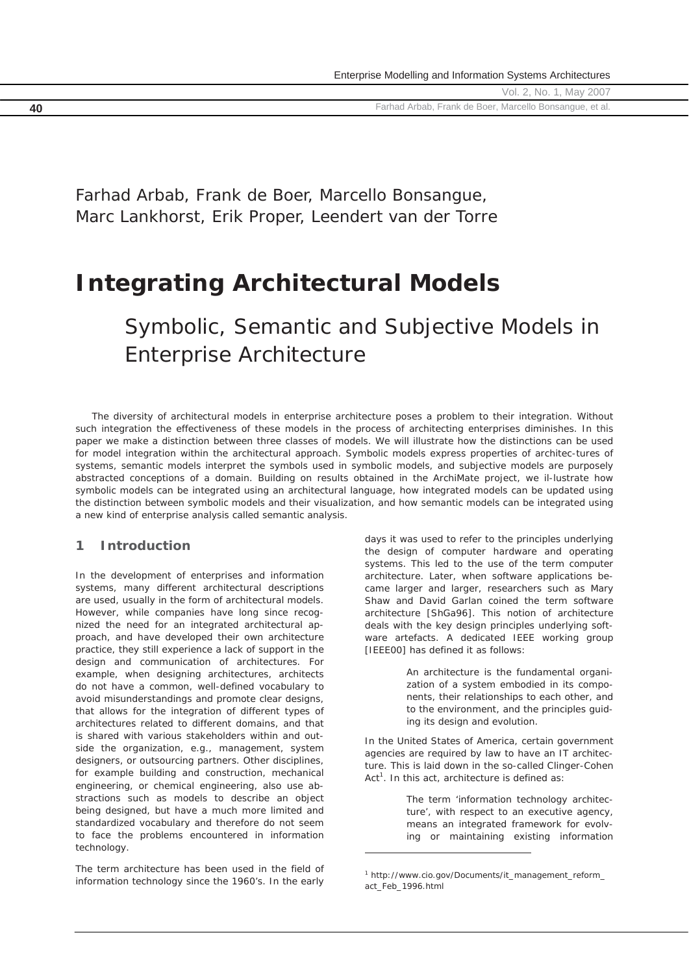Vol. 2, No. 1, May 2007 **40** Farhad Arbab, Frank de Boer, Marcello Bonsangue, et al.

Farhad Arbab, Frank de Boer, Marcello Bonsangue, Marc Lankhorst, Erik Proper, Leendert van der Torre

# **Integrating Architectural Models**

# Symbolic, Semantic and Subjective Models in Enterprise Architecture

*The diversity of architectural models in enterprise architecture poses a problem to their integration. Without such integration the effectiveness of these models in the process of architecting enterprises diminishes. In this*  paper we make a distinction between three classes of models. We will illustrate how the distinctions can be used for model integration within the architectural approach. Symbolic models express properties of architec-tures of *systems, semantic models interpret the symbols used in symbolic models, and subjective models are purposely abstracted conceptions of a domain. Building on results obtained in the ArchiMate project, we il-lustrate how symbolic models can be integrated using an architectural language, how integrated models can be updated using the distinction between symbolic models and their visualization, and how semantic models can be integrated using a new kind of enterprise analysis called semantic analysis.* 

-

## **1 Introduction**

In the development of enterprises and information systems, many different architectural descriptions are used, usually in the form of architectural *models*. However, while companies have long since recognized the need for an integrated architectural approach, and have developed their own architecture practice, they still experience a lack of support in the design and communication of architectures. For example, when designing architectures, architects do not have a common, well-defined vocabulary to avoid misunderstandings and promote clear designs, that allows for the integration of different types of architectures related to different domains, and that is shared with various stakeholders within and outside the organization, e.g., management, system designers, or outsourcing partners. Other disciplines, for example building and construction, mechanical engineering, or chemical engineering, also use abstractions such as models to describe an object being designed, but have a much more limited and standardized vocabulary and therefore do not seem to face the problems encountered in information technology.

The term architecture has been used in the field of information technology since the 1960's. In the early

days it was used to refer to the principles underlying the design of computer hardware and operating systems. This led to the use of the term computer architecture. Later, when software applications became larger and larger, researchers such as Mary Shaw and David Garlan coined the term software architecture [ShGa96]. This notion of architecture deals with the key design principles underlying software artefacts. A dedicated IEEE working group [IEEE00] has defined it as follows:

> An architecture is the fundamental organization of a system embodied in its components, their relationships to each other, and to the environment, and the principles guiding its design and evolution.

In the United States of America, certain government agencies are required by law to have an IT architecture. This is laid down in the so-called Clinger-Cohen Act<sup>1</sup>. In this act, architecture is defined as:

> The term 'information technology architecture', with respect to an executive agency, means an integrated framework for evolving or maintaining existing information

<sup>1</sup> http://www.cio.gov/Documents/it\_management\_reform\_ act\_Feb\_1996.html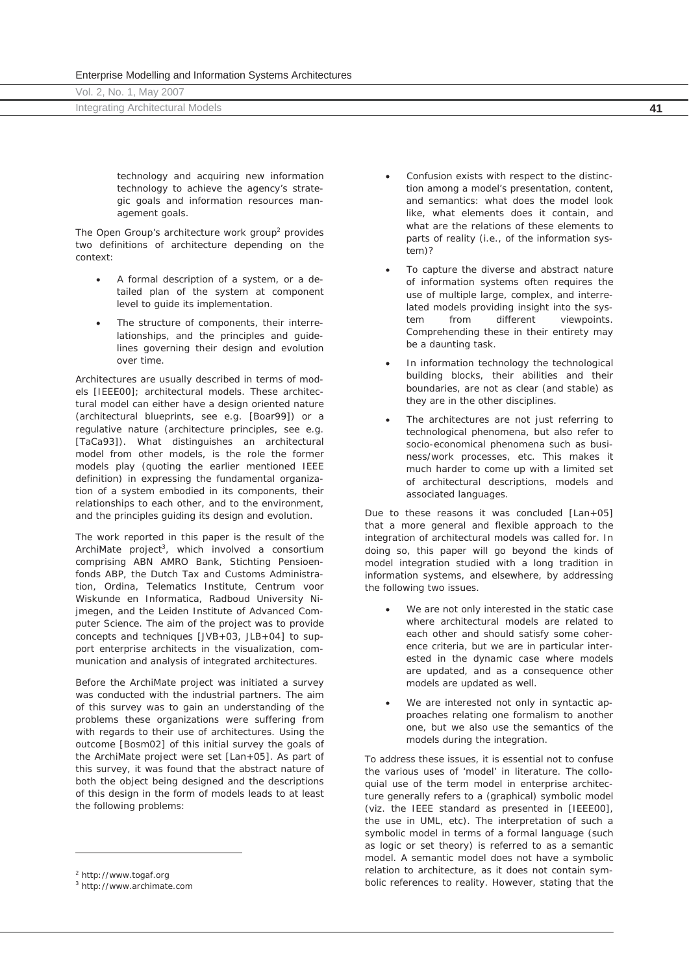| Vol. 2, No. 1, May 2007          |  |
|----------------------------------|--|
| Integrating Architectural Models |  |

technology and acquiring new information technology to achieve the agency's strategic goals and information resources management goals.

The Open Group's architecture work group<sup>2</sup> provides two definitions of architecture depending on the context:

- x A formal description of a system, or a detailed plan of the system at component level to guide its implementation.
- The structure of components, their interrelationships, and the principles and guidelines governing their design and evolution over time.

Architectures are usually described in terms of models [IEEE00]; architectural models. These architectural model can either have a design oriented nature (architectural blueprints, see e.g. [Boar99]) or a regulative nature (architecture principles, see e.g. [TaCa93]). What distinguishes an architectural model from other models, is the role the former models play (quoting the earlier mentioned IEEE definition) in expressing the fundamental organization of a system embodied in its components, their relationships to each other, and to the environment, and the principles guiding its design and evolution.

The work reported in this paper is the result of the ArchiMate project<sup>3</sup>, which involved a consortium comprising ABN AMRO Bank, Stichting Pensioenfonds ABP, the Dutch Tax and Customs Administration, Ordina, Telematics Institute, Centrum voor Wiskunde en Informatica, Radboud University Nijmegen, and the Leiden Institute of Advanced Computer Science. The aim of the project was to provide concepts and techniques [JVB+03, JLB+04] to support enterprise architects in the visualization, communication and analysis of integrated architectures.

Before the ArchiMate project was initiated a survey was conducted with the industrial partners. The aim of this survey was to gain an understanding of the problems these organizations were suffering from with regards to their use of architectures. Using the outcome [Bosm02] of this initial survey the goals of the ArchiMate project were set [Lan+05]. As part of this survey, it was found that the abstract nature of both the object being designed and the descriptions of this design in the form of models leads to at least the following problems:

2 http://www.togaf.org

-

- Confusion exists with respect to the distinction among a model's presentation, content, and semantics: what does the model look like, what elements does it contain, and what are the relations of these elements to parts of reality (i.e., of the information system)?
- To capture the diverse and abstract nature of information systems often requires the use of multiple large, complex, and interrelated models providing insight into the system from different viewpoints. Comprehending these in their entirety may be a daunting task.
- In information technology the technological building blocks, their abilities and their boundaries, are not as clear (and stable) as they are in the other disciplines.
- The architectures are not just referring to technological phenomena, but also refer to socio-economical phenomena such as business/work processes, etc. This makes it much harder to come up with a limited set of architectural descriptions, models and associated languages.

Due to these reasons it was concluded [Lan+05] that a more general and flexible approach to the integration of architectural models was called for. In doing so, this paper will go beyond the kinds of model integration studied with a long tradition in information systems, and elsewhere, by addressing the following two issues.

- We are not only interested in the static case where architectural models are related to each other and should satisfy some coherence criteria, but we are in particular interested in the dynamic case where models are updated, and as a consequence other models are updated as well.
- We are interested not only in syntactic approaches relating one formalism to another one, but we also use the semantics of the models during the integration.

To address these issues, it is essential not to confuse the various uses of 'model' in literature. The colloquial use of the term *model* in enterprise architecture generally refers to a (graphical) symbolic model (viz. the IEEE standard as presented in [IEEE00], the use in UML, etc). The interpretation of such a symbolic model in terms of a formal language (such as logic or set theory) is referred to as a *semantic model*. A semantic model does not have a symbolic relation to architecture, as it does not contain symbolic references to reality. However, stating that the

<sup>3</sup> http://www.archimate.com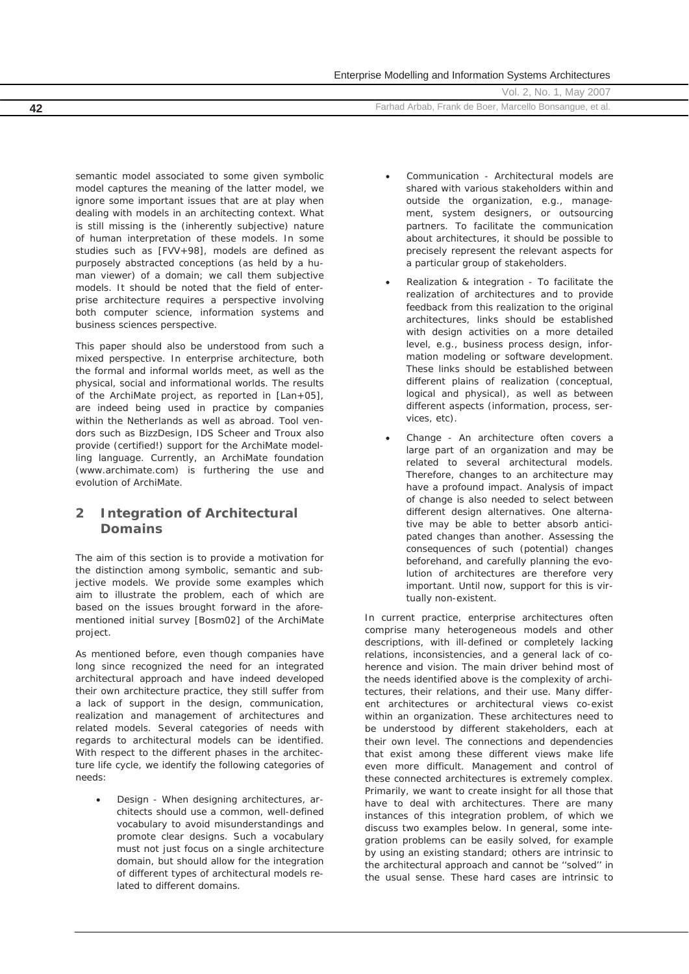Vol. 2, No. 1, May 2007 **42** Farhad Arbab, Frank de Boer, Marcello Bonsangue, et al.

semantic model associated to some given symbolic model captures the meaning of the latter model, we ignore some important issues that are at play when dealing with models in an architecting context. What is still missing is the (inherently subjective) nature of human interpretation of these models. In some studies such as [FVV+98], models are defined as purposely abstracted conceptions (as held by a human viewer) of a domain; we call them subjective models. It should be noted that the field of enterprise architecture requires a perspective involving both computer science, information systems and business sciences perspective.

This paper should also be understood from such a mixed perspective. In enterprise architecture, both the formal and informal worlds meet, as well as the physical, social and informational worlds. The results of the ArchiMate project, as reported in [Lan+05], are indeed being used in practice by companies within the Netherlands as well as abroad. Tool vendors such as BizzDesign, IDS Scheer and Troux also provide (certified!) support for the ArchiMate modelling language. Currently, an ArchiMate foundation (www.archimate.com) is furthering the use and evolution of ArchiMate.

# **2 Integration of Architectural Domains**

The aim of this section is to provide a motivation for the distinction among symbolic, semantic and subjective models. We provide some examples which aim to illustrate the problem, each of which are based on the issues brought forward in the aforementioned initial survey [Bosm02] of the ArchiMate project.

As mentioned before, even though companies have long since recognized the need for an integrated architectural approach and have indeed developed their own architecture practice, they still suffer from a lack of support in the design, communication, realization and management of architectures and related models. Several categories of needs with regards to architectural models can be identified. With respect to the different phases in the architecture life cycle, we identify the following categories of needs:

Design - When designing architectures, architects should use a common, well-defined vocabulary to avoid misunderstandings and promote clear designs. Such a vocabulary must not just focus on a single architecture domain, but should allow for the integration of different types of architectural models related to different domains.

- Communication Architectural models are shared with various stakeholders within and outside the organization, e.g., management, system designers, or outsourcing partners. To facilitate the communication about architectures, it should be possible to precisely represent the relevant aspects for a particular group of stakeholders.
- x Realization & integration To facilitate the realization of architectures and to provide feedback from this realization to the original architectures, links should be established with design activities on a more detailed level, e.g., business process design, information modeling or software development. These links should be established between different plains of realization (conceptual, logical and physical), as well as between different aspects (information, process, services, etc).
- Change An architecture often covers a large part of an organization and may be related to several architectural models. Therefore, changes to an architecture may have a profound impact. Analysis of impact of change is also needed to select between different design alternatives. One alternative may be able to better absorb anticipated changes than another. Assessing the consequences of such (potential) changes beforehand, and carefully planning the evolution of architectures are therefore very important. Until now, support for this is virtually non-existent.

In current practice, enterprise architectures often comprise many heterogeneous models and other descriptions, with ill-defined or completely lacking relations, inconsistencies, and a general lack of coherence and vision. The main driver behind most of the needs identified above is the complexity of architectures, their relations, and their use. Many different architectures or architectural views co-exist within an organization. These architectures need to be understood by different stakeholders, each at their own level. The connections and dependencies that exist among these different views make life even more difficult. Management and control of these connected architectures is extremely complex. Primarily, we want to create insight for all those that have to deal with architectures. There are many instances of this integration problem, of which we discuss two examples below. In general, some integration problems can be easily solved, for example by using an existing standard; others are intrinsic to the architectural approach and cannot be ''solved'' in the usual sense. These hard cases are intrinsic to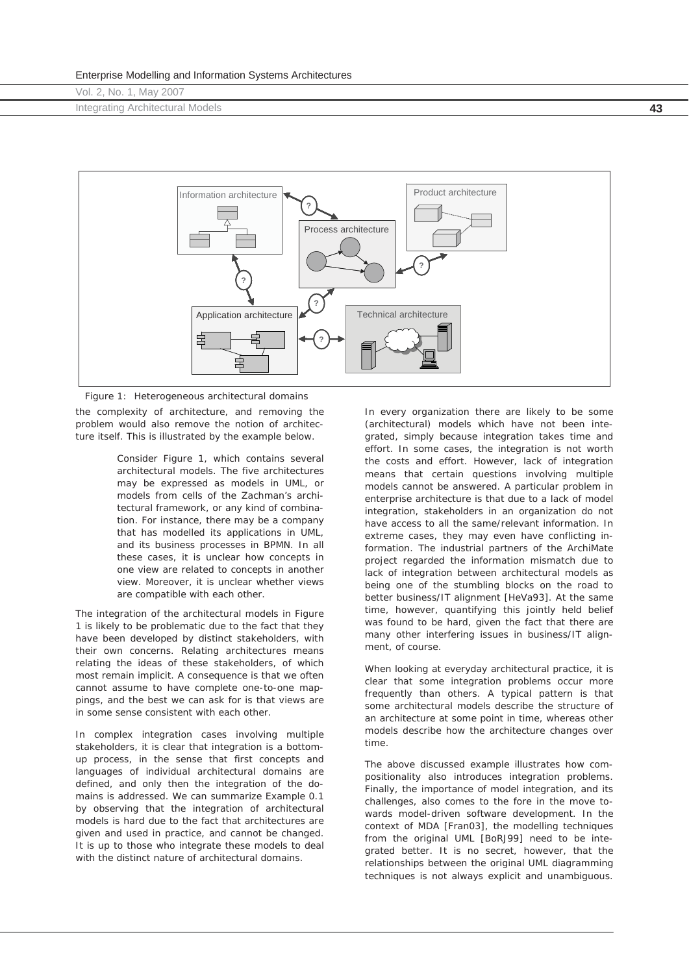Integrating Architectural Models **43**



the complexity of architecture, and removing the problem would also remove the notion of architecture itself. This is illustrated by the example below. *Figure 1: Heterogeneous architectural domains* 

> Consider Figure 1, which contains several architectural models. The five architectures may be expressed as models in UML, or models from cells of the Zachman's architectural framework, or any kind of combination. For instance, there may be a company that has modelled its applications in UML, and its business processes in BPMN. In all these cases, it is unclear how concepts in one view are related to concepts in another view. Moreover, it is unclear whether views are compatible with each other.

The integration of the architectural models in Figure 1 is likely to be problematic due to the fact that they have been developed by distinct stakeholders, with their own concerns. Relating architectures means relating the ideas of these stakeholders, of which most remain implicit. A consequence is that we often cannot assume to have complete one-to-one mappings, and the best we can ask for is that views are in some sense consistent with each other.

In complex integration cases involving multiple stakeholders, it is clear that integration is a bottomup process, in the sense that first concepts and languages of individual architectural domains are defined, and only then the integration of the domains is addressed. We can summarize Example 0.1 by observing that the integration of architectural models is hard due to the fact that architectures are given and used in practice, and cannot be changed. It is up to those who integrate these models to deal with the distinct nature of architectural domains.

In every organization there are likely to be some (architectural) models which have not been integrated, simply because integration takes time and effort. In some cases, the integration is not worth the costs and effort. However, lack of integration means that certain questions involving multiple models cannot be answered. A particular problem in enterprise architecture is that due to a lack of model integration, stakeholders in an organization do not have access to all the same/relevant information. In extreme cases, they may even have conflicting information. The industrial partners of the ArchiMate project regarded the information mismatch due to lack of integration between architectural models as being one of the stumbling blocks on the road to better business/IT alignment [HeVa93]. At the same time, however, quantifying this jointly held belief was found to be hard, given the fact that there are many other interfering issues in business/IT alignment, of course.

When looking at everyday architectural practice, it is clear that some integration problems occur more frequently than others. A typical pattern is that some architectural models describe the structure of an architecture at some point in time, whereas other models describe how the architecture changes over time.

The above discussed example illustrates how compositionality also introduces integration problems. Finally, the importance of model integration, and its challenges, also comes to the fore in the move towards model-driven software development. In the context of MDA [Fran03], the modelling techniques from the original UML [BoRJ99] need to be integrated better. It is no secret, however, that the relationships between the original UML diagramming techniques is not always explicit and unambiguous.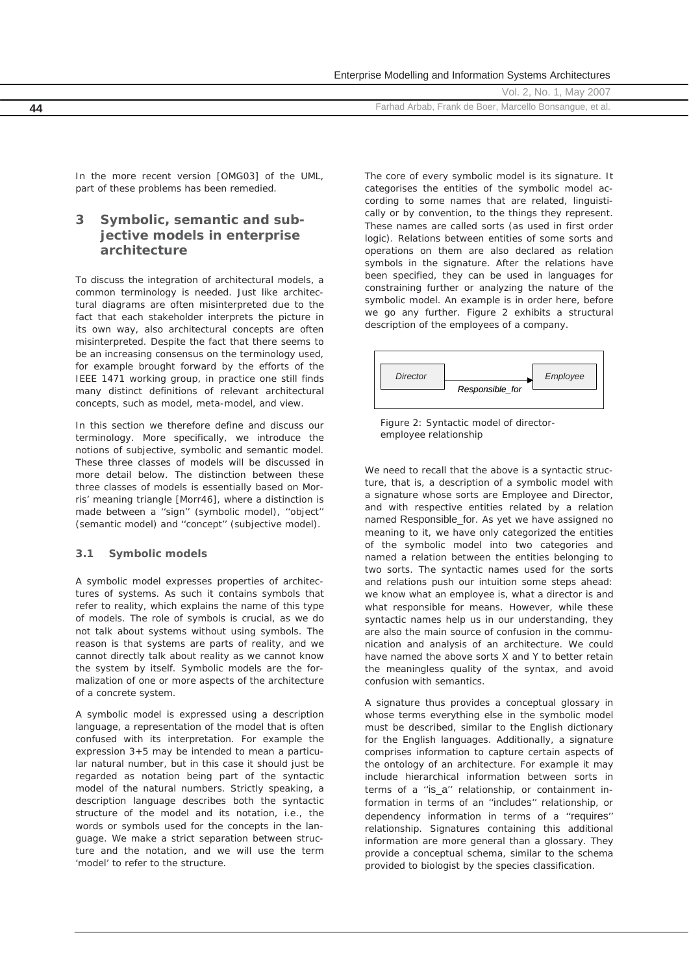Vol. 2, No. 1, May 2007 **44** Farhad Arbab, Frank de Boer, Marcello Bonsangue, et al.

In the more recent version [OMG03] of the UML, part of these problems has been remedied.

# **3 Symbolic, semantic and subjective models in enterprise architecture**

To discuss the integration of architectural models, a common terminology is needed. Just like architectural diagrams are often misinterpreted due to the fact that each stakeholder interprets the picture in its own way, also architectural concepts are often misinterpreted. Despite the fact that there seems to be an increasing consensus on the terminology used, for example brought forward by the efforts of the IEEE 1471 working group, in practice one still finds many distinct definitions of relevant architectural concepts, such as model, meta-model, and view.

In this section we therefore define and discuss our terminology. More specifically, we introduce the notions of subjective, symbolic and semantic model. These three classes of models will be discussed in more detail below. The distinction between these three classes of models is essentially based on Morris' meaning triangle [Morr46], where a distinction is made between a ''sign'' (symbolic model), ''object'' (semantic model) and ''concept'' (subjective model).

### **3.1 Symbolic models**

A *symbolic model* expresses properties of architectures of systems. As such it contains symbols that refer to reality, which explains the name of this type of models. The role of symbols is crucial, as we do not talk about systems without using symbols. The reason is that systems are parts of reality, and we cannot directly talk about reality as we cannot know the system by itself. Symbolic models are the formalization of one or more aspects of the architecture of a concrete system.

A symbolic model is expressed using a description language, a representation of the model that is often confused with its interpretation. For example the expression 3+5 may be intended to mean a particular natural number, but in this case it should just be regarded as notation being part of the syntactic model of the natural numbers. Strictly speaking, a description language describes both the *syntactic structure* of the model and its *notation*, i.e., the words or symbols used for the concepts in the language. We make a strict separation between structure and the notation, and we will use the term 'model' to refer to the structure.

The core of every symbolic model is its *signature*. It categorises the entities of the symbolic model according to some names that are related, linguistically or by convention, to the things they represent. These names are called *sorts* (as used in first order logic). Relations between entities of some sorts and operations on them are also declared as relation symbols in the signature. After the relations have been specified, they can be used in languages for constraining further or analyzing the nature of the symbolic model. An example is in order here, before we go any further. Figure 2 exhibits a structural description of the employees of a company.



*Figure 2: Syntactic model of directoremployee relationship* 

We need to recall that the above is a syntactic structure, that is, a description of a symbolic model with a signature whose sorts are Employee and Director, and with respective entities related by a relation named Responsible for. As yet we have assigned no meaning to it, we have only categorized the entities of the symbolic model into two categories and named a relation between the entities belonging to two sorts. The syntactic names used for the sorts and relations push our intuition some steps ahead: we know what an employee is, what a director is and what responsible for means. However, while these syntactic names help us in our understanding, they are also the main source of confusion in the communication and analysis of an architecture. We could have named the above sorts *X* and *Y* to better retain the meaningless quality of the syntax, and avoid confusion with semantics.

A signature thus provides a conceptual glossary in whose terms everything else in the symbolic model must be described, similar to the English dictionary for the English languages. Additionally, a signature comprises information to capture certain aspects of the ontology of an architecture. For example it may include hierarchical information between sorts in terms of a "is a" relationship, or containment information in terms of an ''includes'' relationship, or dependency information in terms of a ''requires'' relationship. Signatures containing this additional information are more general than a glossary. They provide a conceptual schema, similar to the schema provided to biologist by the species classification.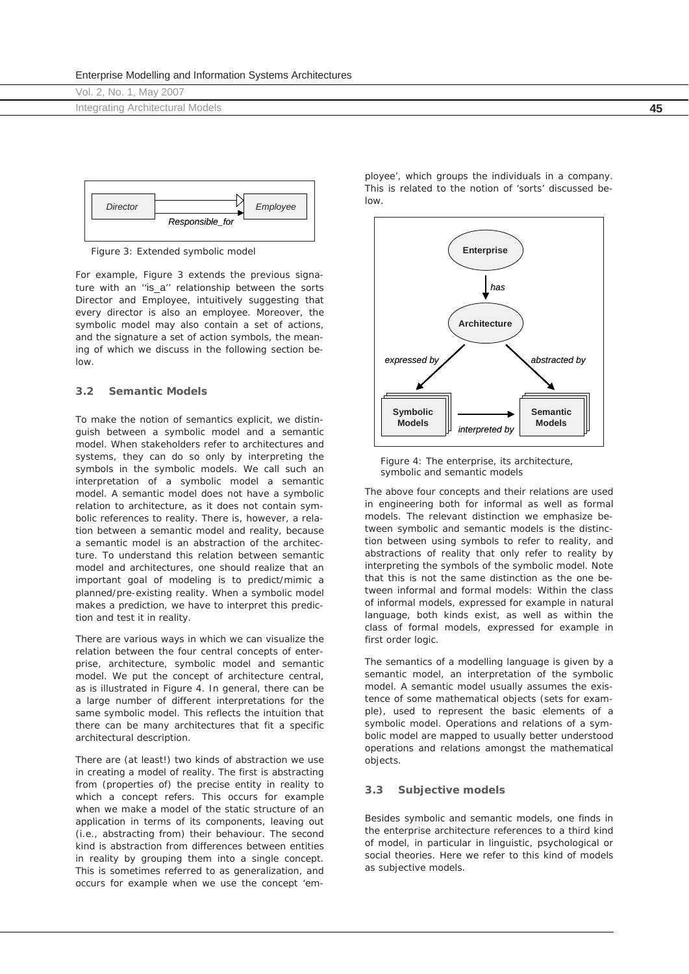Integrating Architectural Models **45**



*Figure 3: Extended symbolic model* 

For example, Figure 3 extends the previous signature with an "is\_a" relationship between the sorts Director and Employee, intuitively suggesting that every director is also an employee. Moreover, the symbolic model may also contain a set of actions, and the signature a set of action symbols, the meaning of which we discuss in the following section below.

#### **3.2 Semantic Models**

To make the notion of semantics explicit, we distinguish between a symbolic model and a semantic model. When stakeholders refer to architectures and systems, they can do so only by interpreting the symbols in the symbolic models. We call such an interpretation of a symbolic model a *semantic model*. A semantic model does not have a symbolic relation to architecture, as it does not contain symbolic references to reality. There is, however, a relation between a semantic model and reality, because a semantic model is an abstraction of the architecture. To understand this relation between semantic model and architectures, one should realize that an important goal of modeling is to predict/mimic a planned/pre-existing reality. When a symbolic model makes a prediction, we have to interpret this prediction and test it in reality.

There are various ways in which we can visualize the relation between the four central concepts of enterprise, architecture, symbolic model and semantic model. We put the concept of architecture central, as is illustrated in Figure 4. In general, there can be a large number of different interpretations for the same symbolic model. This reflects the intuition that there can be many architectures that fit a specific architectural description.

There are (at least!) two kinds of abstraction we use in creating a model of reality. The first is abstracting from (properties of) the precise entity in reality to which a concept refers. This occurs for example when we make a model of the static structure of an application in terms of its components, leaving out (i.e., abstracting from) their behaviour. The second kind is abstraction from differences between entities in reality by grouping them into a single concept. This is sometimes referred to as generalization, and occurs for example when we use the concept 'employee', which groups the individuals in a company. This is related to the notion of 'sorts' discussed below.



*Figure 4: The enterprise, its architecture, symbolic and semantic models* 

The above four concepts and their relations are used in engineering both for informal as well as formal models. The relevant distinction we emphasize between symbolic and semantic models is the distinction between using symbols to refer to reality, and abstractions of reality that only refer to reality by interpreting the symbols of the symbolic model. Note that this is not the same distinction as the one between informal and formal models: Within the class of informal models, expressed for example in natural language, both kinds exist, as well as within the class of formal models, expressed for example in first order logic.

The semantics of a modelling language is given by a *semantic model*, an interpretation of the symbolic model. A semantic model usually assumes the existence of some mathematical objects (sets for example), used to represent the basic elements of a symbolic model. Operations and relations of a symbolic model are mapped to usually better understood operations and relations amongst the mathematical objects.

## **3.3 Subjective models**

Besides symbolic and semantic models, one finds in the enterprise architecture references to a third kind of model, in particular in linguistic, psychological or social theories. Here we refer to this kind of models as subjective models.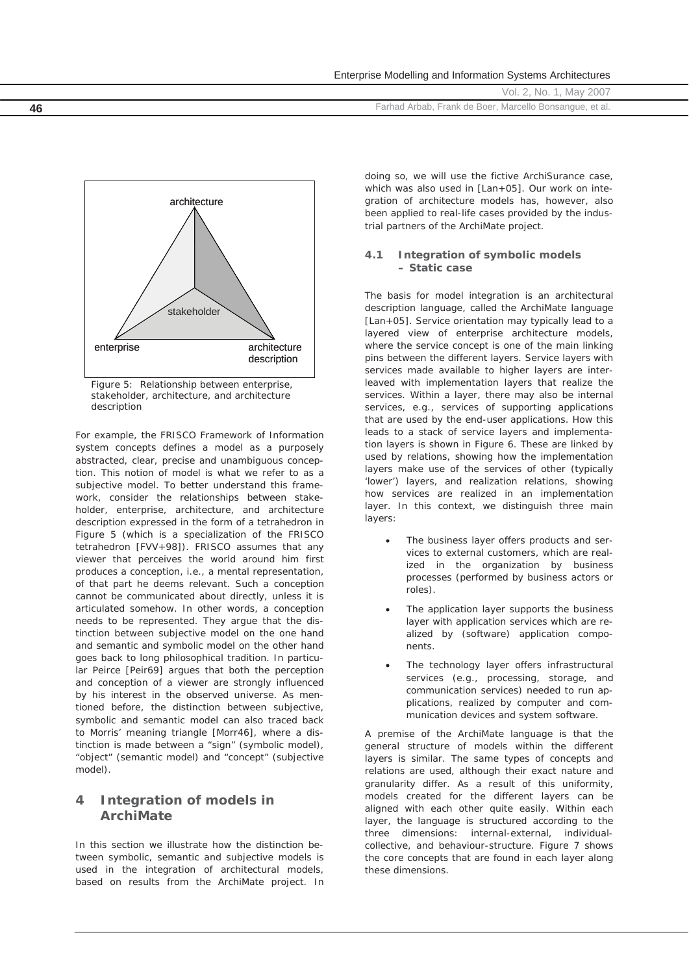|    | Vol. 2, No. 1, May 2007                                 |
|----|---------------------------------------------------------|
| 46 | Farhad Arbab, Frank de Boer, Marcello Bonsangue, et al. |



*Figure 5: Relationship between enterprise, stakeholder, architecture, and architecture description* 

For example, the FRISCO Framework of Information system concepts defines a model as a purposely abstracted, clear, precise and unambiguous conception. This notion of model is what we refer to as a *subjective* model. To better understand this framework, consider the relationships between stakeholder, enterprise, architecture, and architecture description expressed in the form of a tetrahedron in Figure 5 (which is a specialization of the FRISCO tetrahedron [FVV+98]). FRISCO assumes that any viewer that perceives the world around him first produces a conception, i.e., a mental representation, of that part he deems relevant. Such a conception cannot be communicated about directly, unless it is articulated somehow. In other words, a conception needs to be represented. They argue that the distinction between subjective model on the one hand and semantic and symbolic model on the other hand goes back to long philosophical tradition. In particular Peirce [Peir69] argues that both the perception and conception of a viewer are strongly influenced by his interest in the observed universe. As mentioned before, the distinction between subjective, symbolic and semantic model can also traced back to Morris' meaning triangle [Morr46], where a distinction is made between a "sign" (*symbolic model*), "object" (*semantic model*) and "concept" (*subjective model*).

# **4 Integration of models in ArchiMate**

In this section we illustrate how the distinction between symbolic, semantic and subjective models is used in the integration of architectural models, based on results from the ArchiMate project. In doing so, we will use the fictive ArchiSurance case, which was also used in [Lan+05]. Our work on integration of architecture models has, however, also been applied to real-life cases provided by the industrial partners of the ArchiMate project.

#### **4.1 Integration of symbolic models – Static case**

The basis for model integration is an architectural description language, called the ArchiMate language [Lan+05]. Service orientation may typically lead to a layered view of enterprise architecture models, where the service concept is one of the main linking pins between the different layers. *Service layers* with services made available to higher layers are interleaved with *implementation layers* that realize the services. Within a layer, there may also be *internal* services, e.g., services of supporting applications that are used by the end-user applications. How this leads to a stack of service layers and implementation layers is shown in Figure 6. These are linked by *used by* relations, showing how the implementation layers make use of the services of other (typically 'lower') layers, and *realization* relations, showing how services are realized in an implementation layer. In this context, we distinguish three main layers:

- The *business layer* offers products and services to external customers, which are realized in the organization by business processes (performed by business actors or roles).
- The *application layer* supports the business layer with application services which are realized by (software) application components.
- The *technology layer* offers infrastructural services (e.g., processing, storage, and communication services) needed to run applications, realized by computer and communication devices and system software.

A premise of the ArchiMate language is that the general structure of models within the different layers is similar. The same types of concepts and relations are used, although their exact nature and granularity differ. As a result of this uniformity, models created for the different layers can be aligned with each other quite easily. Within each layer, the language is structured according to the three dimensions: internal-external, individualcollective, and behaviour-structure. Figure 7 shows the core concepts that are found in each layer along these dimensions.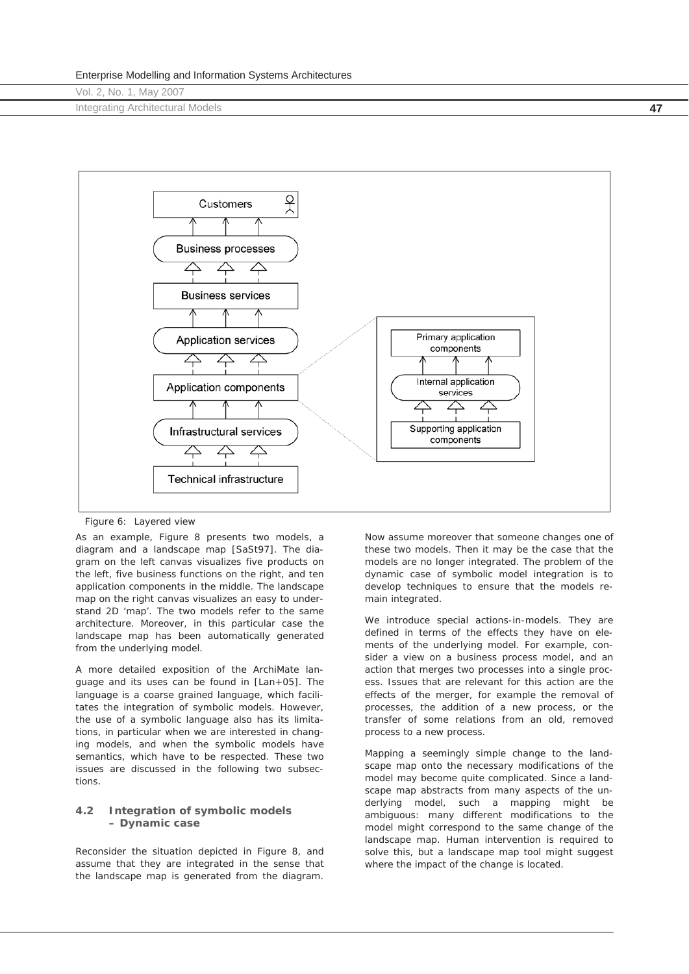Integrating Architectural Models **47**



*Figure 6: Layered view* 

As an example, Figure 8 presents two models, a diagram and a landscape map [SaSt97]. The diagram on the left canvas visualizes five products on the left, five business functions on the right, and ten application components in the middle. The landscape map on the right canvas visualizes an easy to understand 2D 'map'. The two models refer to the same architecture. Moreover, in this particular case the landscape map has been automatically generated from the underlying model.

A more detailed exposition of the ArchiMate language and its uses can be found in [Lan+05]. The language is a coarse grained language, which facilitates the integration of symbolic models. However, the use of a symbolic language also has its limitations, in particular when we are interested in changing models, and when the symbolic models have semantics, which have to be respected. These two issues are discussed in the following two subsections.

## **4.2 Integration of symbolic models – Dynamic case**

Reconsider the situation depicted in Figure 8, and assume that they are integrated in the sense that the landscape map is generated from the diagram.

Now assume moreover that someone changes one of these two models. Then it may be the case that the models are no longer integrated. The problem of the dynamic case of symbolic model integration is to develop techniques to ensure that the models remain integrated.

We introduce special actions-in-models. They are defined in terms of the effects they have on elements of the underlying model. For example, consider a view on a business process model, and an action that merges two processes into a single process. Issues that are relevant for this action are the effects of the merger, for example the removal of processes, the addition of a new process, or the transfer of some relations from an old, removed process to a new process.

Mapping a seemingly simple change to the landscape map onto the necessary modifications of the model may become quite complicated. Since a landscape map abstracts from many aspects of the underlying model, such a mapping might be ambiguous: many different modifications to the model might correspond to the same change of the landscape map. Human intervention is required to solve this, but a landscape map tool might suggest where the impact of the change is located.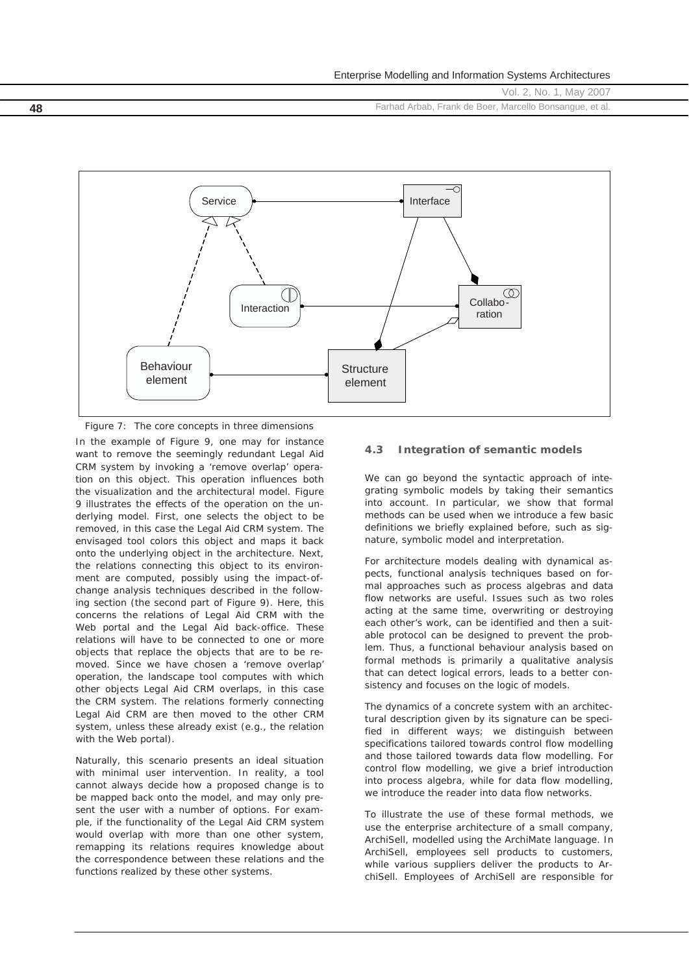**48** Farhad Arbab, Frank de Boer, Marcello Bonsangue, et al.



*Figure 7: The core concepts in three dimensions* 

In the example of Figure 9, one may for instance want to remove the seemingly redundant Legal Aid CRM system by invoking a 'remove overlap' operation on this object. This operation influences both the visualization and the architectural model. Figure 9 illustrates the effects of the operation on the underlying model. First, one selects the object to be removed, in this case the Legal Aid CRM system. The envisaged tool colors this object and maps it back onto the underlying object in the architecture. Next, the relations connecting this object to its environment are computed, possibly using the impact-ofchange analysis techniques described in the following section (the second part of Figure 9). Here, this concerns the relations of Legal Aid CRM with the Web portal and the Legal Aid back-office. These relations will have to be connected to one or more objects that replace the objects that are to be removed. Since we have chosen a 'remove overlap' operation, the landscape tool computes with which other objects Legal Aid CRM overlaps, in this case the CRM system. The relations formerly connecting Legal Aid CRM are then moved to the other CRM system, unless these already exist (e.g., the relation with the Web portal).

Naturally, this scenario presents an ideal situation with minimal user intervention. In reality, a tool cannot always decide how a proposed change is to be mapped back onto the model, and may only present the user with a number of options. For example, if the functionality of the Legal Aid CRM system would overlap with more than one other system, remapping its relations requires knowledge about the correspondence between these relations and the functions realized by these other systems.

### **4.3 Integration of semantic models**

We can go beyond the syntactic approach of integrating symbolic models by taking their semantics into account. In particular, we show that formal methods can be used when we introduce a few basic definitions we briefly explained before, such as signature, symbolic model and interpretation.

For architecture models dealing with dynamical aspects, functional analysis techniques based on formal approaches such as process algebras and data flow networks are useful. Issues such as two roles acting at the same time, overwriting or destroying each other's work, can be identified and then a suitable protocol can be designed to prevent the problem. Thus, a functional behaviour analysis based on formal methods is primarily a qualitative analysis that can detect logical errors, leads to a better consistency and focuses on the logic of models.

The dynamics of a concrete system with an architectural description given by its signature can be specified in different ways; we distinguish between specifications tailored towards control flow modelling and those tailored towards data flow modelling. For control flow modelling, we give a brief introduction into process algebra, while for data flow modelling, we introduce the reader into data flow networks.

To illustrate the use of these formal methods, we use the enterprise architecture of a small company, ArchiSell, modelled using the ArchiMate language. In ArchiSell, employees sell products to customers, while various suppliers deliver the products to ArchiSell. Employees of ArchiSell are responsible for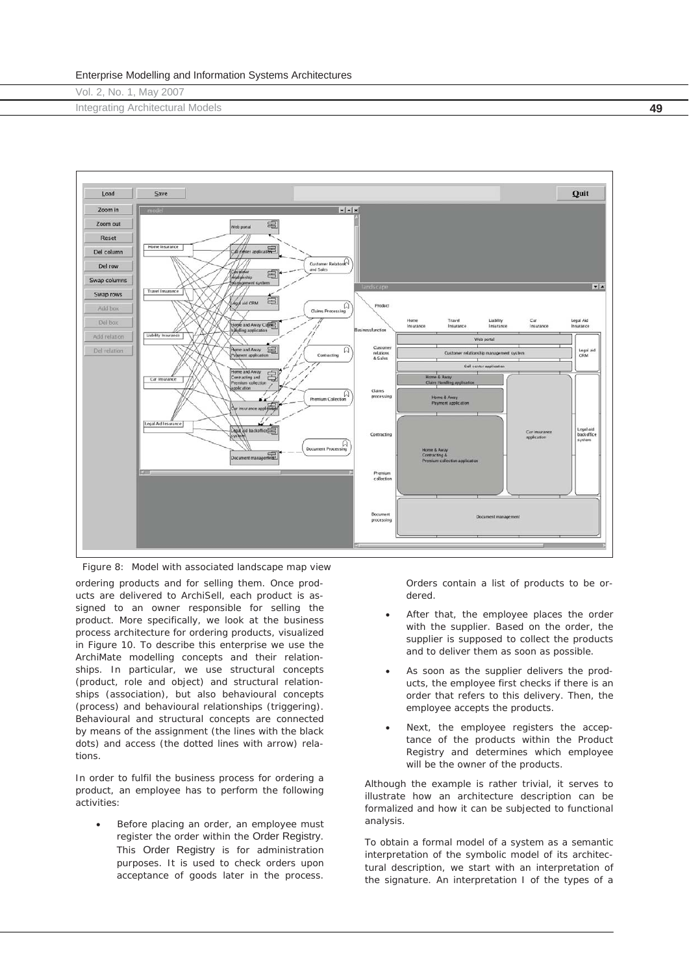### Enterprise Modelling and Information Systems Architectures

Vol. 2, No. 1, May 2007

Integrating Architectural Models **49**



*Figure 8: Model with associated landscape map view* 

ordering products and for selling them. Once products are delivered to ArchiSell, each product is assigned to an owner responsible for selling the product. More specifically, we look at the business process architecture for ordering products, visualized in Figure 10. To describe this enterprise we use the ArchiMate modelling concepts and their relationships. In particular, we use structural concepts (*product*, *role* and *object*) and structural relationships (*association*), but also behavioural concepts (process) and behavioural relationships (*triggering*). Behavioural and structural concepts are connected by means of the *assignment* (the lines with the black dots) and *access* (the dotted lines with arrow) relations.

In order to fulfil the business process for ordering a product, an employee has to perform the following activities:

Before placing an order, an employee must register the order within the Order Registry. This Order Registry is for administration purposes. It is used to check orders upon acceptance of goods later in the process.

Orders contain a list of products to be ordered.

- After that, the employee places the order with the supplier. Based on the order, the supplier is supposed to collect the products and to deliver them as soon as possible.
- As soon as the supplier delivers the products, the employee first checks if there is an order that refers to this delivery. Then, the employee accepts the products.
- Next, the employee registers the acceptance of the products within the Product Registry and determines which employee will be the owner of the products.

Although the example is rather trivial, it serves to illustrate how an architecture description can be formalized and how it can be subjected to functional analysis.

To obtain a formal model of a system as a semantic interpretation of the symbolic model of its architectural description, we start with an interpretation of the signature. An *interpretation I* of the types of a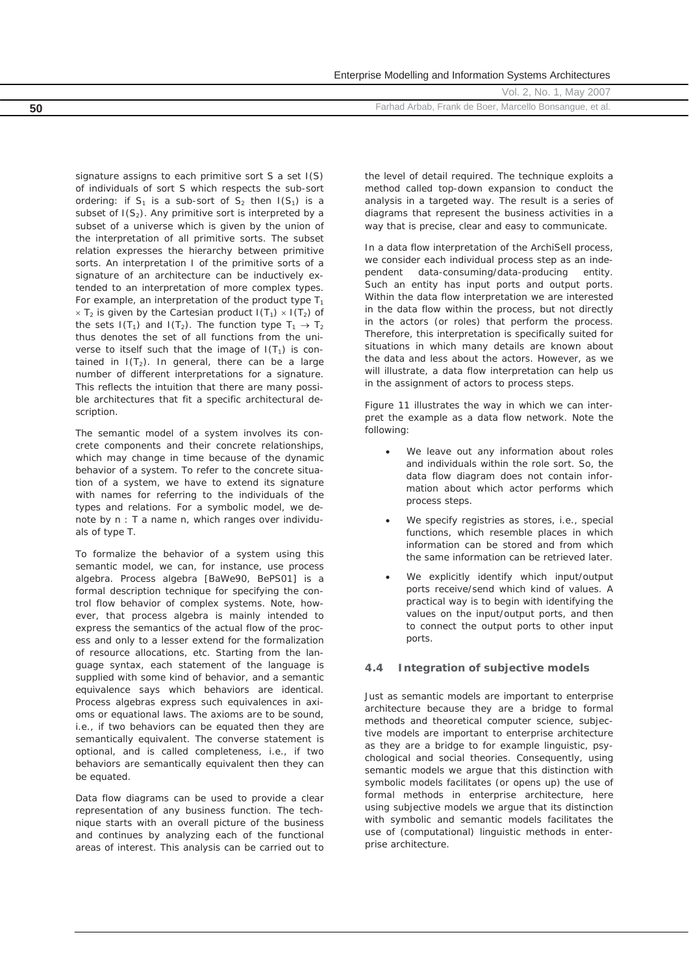Vol. 2, No. 1, May 2007 **50** Farhad Arbab, Frank de Boer, Marcello Bonsangue, et al.

signature assigns to each primitive sort *S* a set *I*(*S*) of *individuals* of sort *S* which respects the sub-sort ordering: if  $S_1$  is a sub-sort of  $S_2$  then  $I(S_1)$  is a subset of  $I(S_2)$ . Any primitive sort is interpreted by a subset of a universe which is given by the union of the interpretation of all primitive sorts. The subset relation expresses the hierarchy between primitive sorts. An interpretation *I* of the primitive sorts of a signature of an architecture can be inductively extended to an interpretation of more complex types. For example, an interpretation of the product type  $T_1$  $\times$  *T<sub>2</sub>* is given by the Cartesian product  $I(T_1) \times I(T_2)$  of the sets  $I(T_1)$  and  $I(T_2)$ . The function type  $T_1 \rightarrow T_2$ thus denotes the set of all functions from the universe to itself such that the image of  $I(T_1)$  is contained in  $I(T_2)$ . In general, there can be a large number of different interpretations for a signature. This reflects the intuition that there are many possible architectures that fit a specific architectural de-

The semantic model of a system involves its concrete components and their concrete relationships, which may change in time because of the dynamic behavior of a system. To refer to the concrete situation of a system, we have to extend its signature with names for referring to the individuals of the types and relations. For a symbolic model, we denote by *n* : *T* a name *n*, which ranges over individuals of type *T*.

scription.

To formalize the behavior of a system using this semantic model, we can, for instance, use process algebra. Process algebra [BaWe90, BePS01] is a formal description technique for specifying the control flow behavior of complex systems. Note, however, that process algebra is mainly intended to express the semantics of the actual flow of the process and only to a lesser extend for the formalization of resource allocations, etc. Starting from the language syntax, each statement of the language is supplied with some kind of behavior, and a semantic equivalence says which behaviors are identical. Process algebras express such equivalences in *axioms* or *equational laws*. The axioms are to be *sound*, i.e., if two behaviors can be equated then they are semantically equivalent. The converse statement is optional, and is called *completeness*, i.e., if two behaviors are semantically equivalent then they can be equated.

Data flow diagrams can be used to provide a clear representation of any business function. The technique starts with an overall picture of the business and continues by analyzing each of the functional areas of interest. This analysis can be carried out to

the level of detail required. The technique exploits a method called top-down expansion to conduct the analysis in a targeted way. The result is a series of diagrams that represent the business activities in a way that is precise, clear and easy to communicate.

Enterprise Modelling and Information Systems Architectures

In a data flow interpretation of the ArchiSell process, we consider each individual process step as an independent data-consuming/data-producing entity. Such an entity has *input ports* and *output ports*. Within the data flow interpretation we are interested in the data flow within the process, but not directly in the actors (or roles) that perform the process. Therefore, this interpretation is specifically suited for situations in which many details are known about the data and less about the actors. However, as we will illustrate, a data flow interpretation can help us in the assignment of actors to process steps.

Figure 11 illustrates the way in which we can interpret the example as a data flow network. Note the following:

- We leave out any information about roles and individuals within the role sort. So, the data flow diagram does not contain information about which actor performs which process steps.
- We specify registries as stores, i.e., special functions, which resemble places in which information can be stored and from which the same information can be retrieved later.
- We explicitly identify which input/output ports receive/send which kind of values. A practical way is to begin with identifying the values on the input/output ports, and then to connect the output ports to other input ports.

### **4.4 Integration of subjective models**

Just as semantic models are important to enterprise architecture because they are a bridge to formal methods and theoretical computer science, subjective models are important to enterprise architecture as they are a bridge to for example linguistic, psychological and social theories. Consequently, using semantic models we argue that this distinction with symbolic models facilitates (or opens up) the use of formal methods in enterprise architecture, here using subjective models we argue that its distinction with symbolic and semantic models facilitates the use of (computational) linguistic methods in enterprise architecture.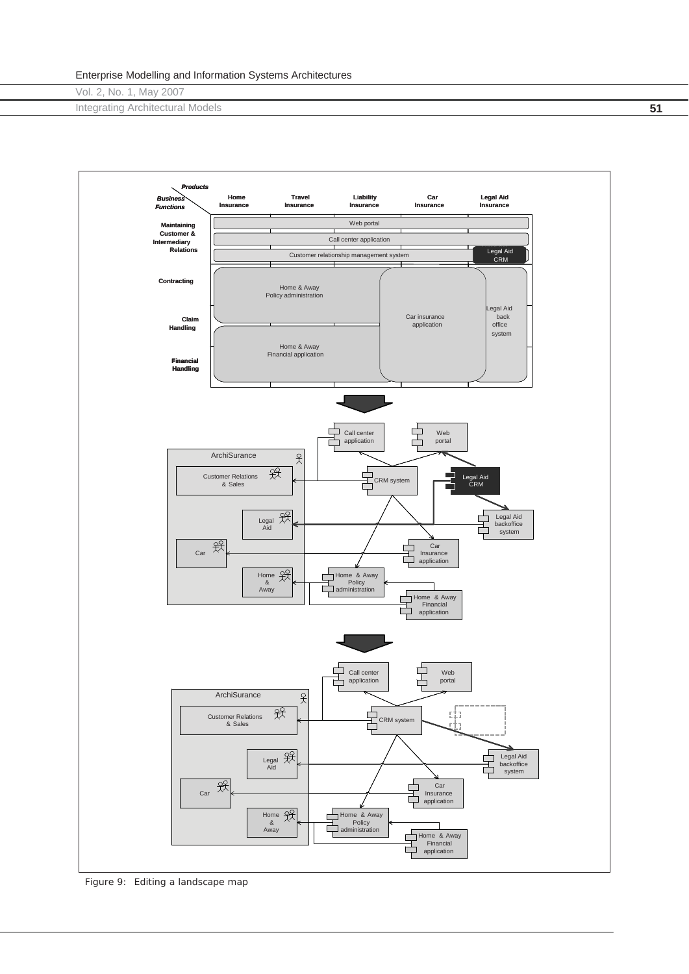Integrating Architectural Models **51**



*Figure 9: Editing a landscape map*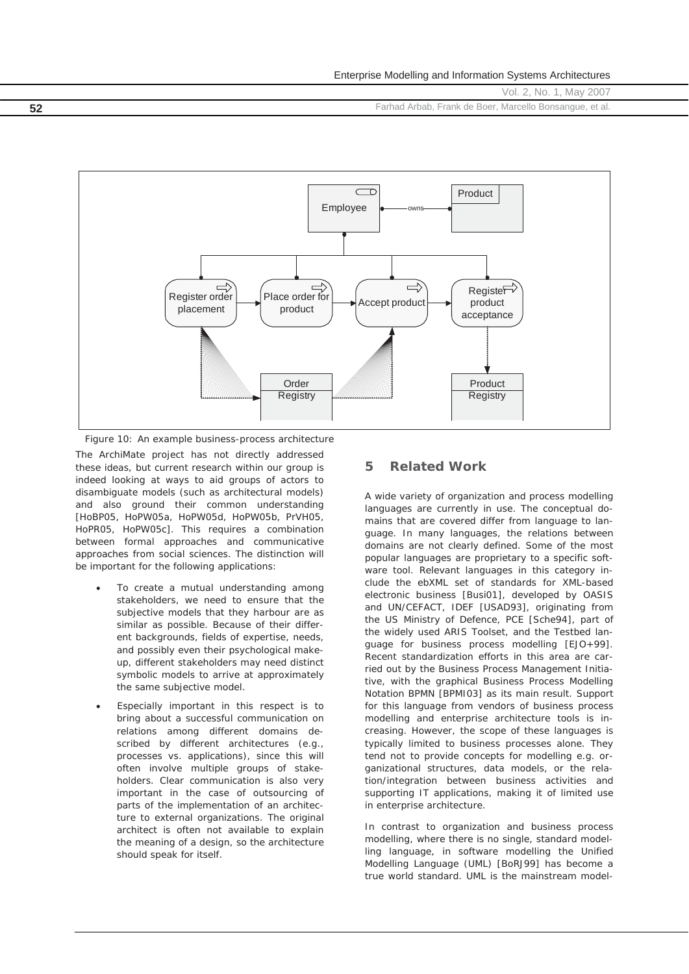**52** Farhad Arbab, Frank de Boer, Marcello Bonsangue, et al.



*Figure 10: An example business-process architecture* 

The ArchiMate project has not directly addressed these ideas, but current research within our group is indeed looking at ways to aid groups of actors to disambiguate models (such as architectural models) and also ground their common understanding [HoBP05, HoPW05a, HoPW05d, HoPW05b, PrVH05, HoPR05, HoPW05c]. This requires a combination between formal approaches and communicative approaches from social sciences. The distinction will be important for the following applications:

- To create a mutual understanding among stakeholders, we need to ensure that the subjective models that they harbour are as similar as possible. Because of their different backgrounds, fields of expertise, needs, and possibly even their psychological makeup, different stakeholders may need distinct symbolic models to arrive at approximately the same subjective model.
- Especially important in this respect is to bring about a successful communication on relations among different domains described by different architectures (e.g., processes vs. applications), since this will often involve multiple groups of stakeholders. Clear communication is also very important in the case of outsourcing of parts of the implementation of an architecture to external organizations. The original architect is often not available to explain the meaning of a design, so the architecture should speak for itself.

## **5 Related Work**

A wide variety of organization and process modelling languages are currently in use. The conceptual domains that are covered differ from language to language. In many languages, the relations between domains are not clearly defined. Some of the most popular languages are proprietary to a specific software tool. Relevant languages in this category include the ebXML set of standards for XML-based electronic business [Busi01], developed by OASIS and UN/CEFACT, IDEF [USAD93], originating from the US Ministry of Defence, PCE [Sche94], part of the widely used ARIS Toolset, and the Testbed language for business process modelling [EJO+99]. Recent standardization efforts in this area are carried out by the Business Process Management Initiative, with the graphical Business Process Modelling Notation BPMN [BPMI03] as its main result. Support for this language from vendors of business process modelling and enterprise architecture tools is increasing. However, the scope of these languages is typically limited to business processes alone. They tend not to provide concepts for modelling e.g. organizational structures, data models, or the relation/integration between business activities and supporting IT applications, making it of limited use in enterprise architecture.

In contrast to organization and business process modelling, where there is no single, standard modelling language, in software modelling the Unified Modelling Language (UML) [BoRJ99] has become a true world standard. UML is the mainstream model-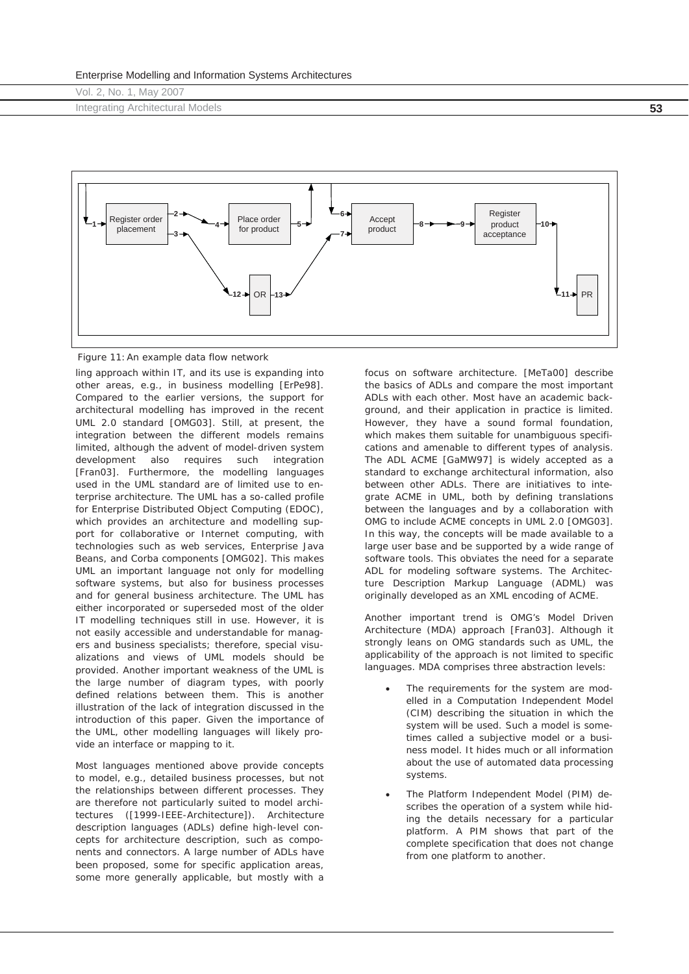Integrating Architectural Models **53**





ling approach within IT, and its use is expanding into other areas, e.g., in business modelling [ErPe98]. Compared to the earlier versions, the support for architectural modelling has improved in the recent UML 2.0 standard [OMG03]. Still, at present, the integration between the different models remains limited, although the advent of model-driven system development also requires such integration [Fran03]. Furthermore, the modelling languages used in the UML standard are of limited use to enterprise architecture. The UML has a so-called profile for Enterprise Distributed Object Computing (EDOC), which provides an architecture and modelling support for collaborative or Internet computing, with technologies such as web services, Enterprise Java Beans, and Corba components [OMG02]. This makes UML an important language not only for modelling software systems, but also for business processes and for general business architecture. The UML has either incorporated or superseded most of the older IT modelling techniques still in use. However, it is not easily accessible and understandable for managers and business specialists; therefore, special visualizations and views of UML models should be provided. Another important weakness of the UML is the large number of diagram types, with poorly defined relations between them. This is another illustration of the lack of integration discussed in the introduction of this paper. Given the importance of the UML, other modelling languages will likely provide an interface or mapping to it.

Most languages mentioned above provide concepts to model, e.g., detailed business processes, but not the relationships between different processes. They are therefore not particularly suited to model architectures ([1999-IEEE-Architecture]). Architecture description languages (ADLs) define high-level concepts for architecture description, such as components and connectors. A large number of ADLs have been proposed, some for specific application areas, some more generally applicable, but mostly with a

focus on software architecture. [MeTa00] describe the basics of ADLs and compare the most important ADLs with each other. Most have an academic background, and their application in practice is limited. However, they have a sound formal foundation, which makes them suitable for unambiguous specifications and amenable to different types of analysis. The ADL ACME [GaMW97] is widely accepted as a standard to exchange architectural information, also between other ADLs. There are initiatives to integrate ACME in UML, both by defining translations between the languages and by a collaboration with OMG to include ACME concepts in UML 2.0 [OMG03]. In this way, the concepts will be made available to a large user base and be supported by a wide range of software tools. This obviates the need for a separate ADL for modeling software systems. The Architecture Description Markup Language (ADML) was originally developed as an XML encoding of ACME.

Another important trend is OMG's Model Driven Architecture (MDA) approach [Fran03]. Although it strongly leans on OMG standards such as UML, the applicability of the approach is not limited to specific languages. MDA comprises three abstraction levels:

- The requirements for the system are modelled in a Computation Independent Model (CIM) describing the situation in which the system will be used. Such a model is sometimes called a subjective model or a business model. It hides much or all information about the use of automated data processing systems.
- The Platform Independent Model (PIM) describes the operation of a system while hiding the details necessary for a particular platform. A PIM shows that part of the complete specification that does not change from one platform to another.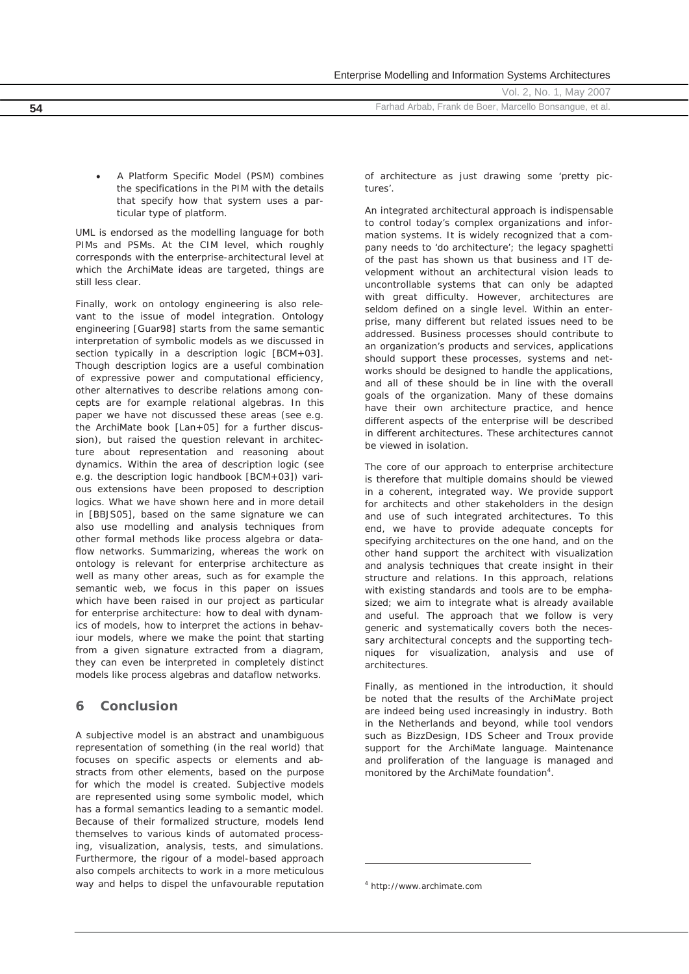|    | Vol. 2, No. 1, May 2007                                 |
|----|---------------------------------------------------------|
| 54 | Farhad Arbab, Frank de Boer, Marcello Bonsangue, et al. |
|    |                                                         |

x A Platform Specific Model (PSM) combines the specifications in the PIM with the details that specify how that system uses a particular type of platform.

UML is endorsed as the modelling language for both PIMs and PSMs. At the CIM level, which roughly corresponds with the enterprise-architectural level at which the ArchiMate ideas are targeted, things are still less clear.

Finally, work on ontology engineering is also relevant to the issue of model integration. Ontology engineering [Guar98] starts from the same semantic interpretation of symbolic models as we discussed in section typically in a description logic [BCM+03]. Though description logics are a useful combination of expressive power and computational efficiency, other alternatives to describe relations among concepts are for example relational algebras. In this paper we have not discussed these areas (see e.g. the ArchiMate book [Lan+05] for a further discussion), but raised the question relevant in architecture about representation and reasoning about dynamics. Within the area of description logic (see e.g. the description logic handbook [BCM+03]) various extensions have been proposed to description logics. What we have shown here and in more detail in [BBJS05], based on the same signature we can also use modelling and analysis techniques from other formal methods like process algebra or dataflow networks. Summarizing, whereas the work on ontology is relevant for enterprise architecture as well as many other areas, such as for example the semantic web, we focus in this paper on issues which have been raised in our project as particular for enterprise architecture: how to deal with dynamics of models, how to interpret the actions in behaviour models, where we make the point that starting from a given signature extracted from a diagram, they can even be interpreted in completely distinct models like process algebras and dataflow networks.

## **6 Conclusion**

A *subjective* model is an abstract and unambiguous representation of something (in the real world) that focuses on specific aspects or elements and abstracts from other elements, based on the purpose for which the model is created. Subjective models are represented using some *symbolic model*, which has a formal semantics leading to a *semantic model*. Because of their formalized structure, models lend themselves to various kinds of automated processing, visualization, analysis, tests, and simulations. Furthermore, the rigour of a model-based approach also compels architects to work in a more meticulous way and helps to dispel the unfavourable reputation

of architecture as just drawing some 'pretty pictures'.

Enterprise Modelling and Information Systems Architectures

An integrated architectural approach is indispensable to control today's complex organizations and information systems. It is widely recognized that a company needs to 'do architecture'; the legacy spaghetti of the past has shown us that business and IT development without an architectural vision leads to uncontrollable systems that can only be adapted with great difficulty. However, architectures are seldom defined on a single level. Within an enterprise, many different but related issues need to be addressed. Business processes should contribute to an organization's products and services, applications should support these processes, systems and networks should be designed to handle the applications, and all of these should be in line with the overall goals of the organization. Many of these domains have their own architecture practice, and hence different aspects of the enterprise will be described in different architectures. These architectures cannot be viewed in isolation.

The core of our approach to enterprise architecture is therefore that multiple domains should be viewed in a coherent, integrated way. We provide support for architects and other stakeholders in the design and use of such integrated architectures. To this end, we have to provide adequate concepts for specifying architectures on the one hand, and on the other hand support the architect with visualization and analysis techniques that create insight in their structure and relations. In this approach, relations with existing standards and tools are to be emphasized; we aim to integrate what is already available and useful. The approach that we follow is very generic and systematically covers both the necessary architectural concepts and the supporting techniques for visualization, analysis and use of architectures.

Finally, as mentioned in the introduction, it should be noted that the results of the ArchiMate project are indeed being used increasingly in industry. Both in the Netherlands and beyond, while tool vendors such as BizzDesign, IDS Scheer and Troux provide support for the ArchiMate language. Maintenance and proliferation of the language is managed and monitored by the ArchiMate foundation<sup>4</sup>.

4 http://www.archimate.com

-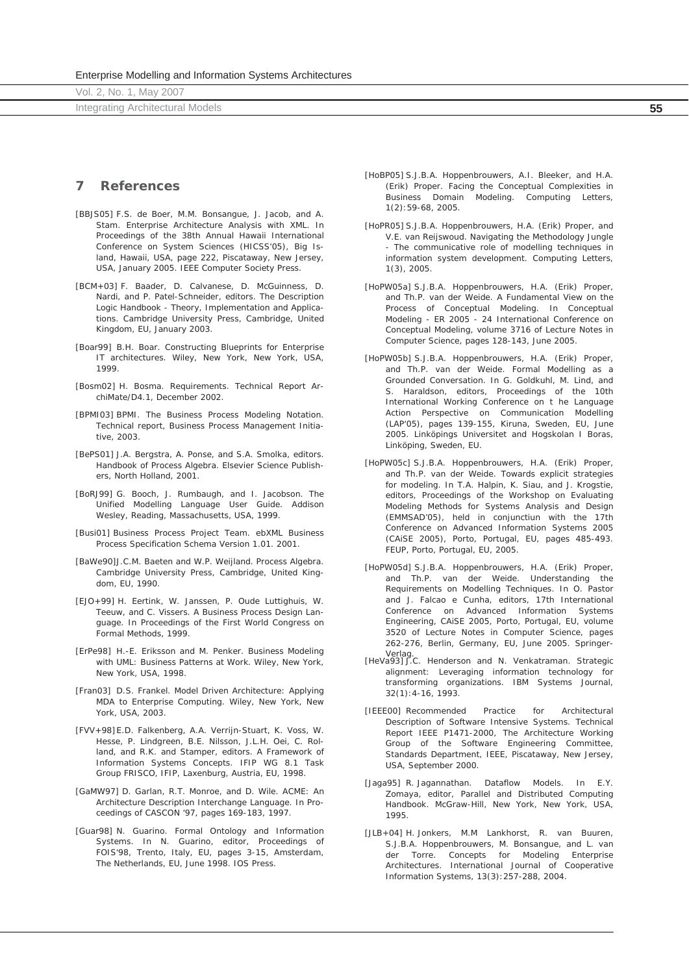Integrating Architectural Models **55**

## **7 References**

- [BBJS05] F.S. de Boer, M.M. Bonsangue, J. Jacob, and A. Stam. Enterprise Architecture Analysis with XML. In *Proceedings of the 38th Annual Hawaii International Conference on System Sciences (HICSS'05), Big Island, Hawaii, USA*, page 222, Piscataway, New Jersey, USA, January 2005. IEEE Computer Society Press.
- [BCM+03] F. Baader, D. Calvanese, D. McGuinness, D. Nardi, and P. Patel-Schneider, editors. *The Description Logic Handbook - Theory, Implementation and Applications*. Cambridge University Press, Cambridge, United Kingdom, EU, January 2003.
- [Boar99] B.H. Boar. *Constructing Blueprints for Enterprise IT architectures*. Wiley, New York, New York, USA, 1999.
- [Bosm02] H. Bosma. Requirements. Technical Report ArchiMate/D4.1, December 2002.
- [BPMI03] BPMI. The Business Process Modeling Notation. Technical report, Business Process Management Initiative, 2003.
- [BePS01] J.A. Bergstra, A. Ponse, and S.A. Smolka, editors. *Handbook of Process Algebra*. Elsevier Science Publishers, North Holland, 2001.
- [BoRJ99] G. Booch, J. Rumbaugh, and I. Jacobson. *The Unified Modelling Language User Guide*. Addison Wesley, Reading, Massachusetts, USA, 1999.
- [Busi01] Business Process Project Team. *ebXML Business Process Specification Schema Version 1.01*. 2001.
- [BaWe90] J.C.M. Baeten and W.P. Weijland. *Process Algebra*. Cambridge University Press, Cambridge, United Kingdom, EU, 1990.
- [EJO+99] H. Eertink, W. Janssen, P. Oude Luttighuis, W. Teeuw, and C. Vissers. A Business Process Design Language. In *Proceedings of the First World Congress on Formal Methods*, 1999.
- [ErPe98] H.-E. Eriksson and M. Penker. *Business Modeling with UML: Business Patterns at Work*. Wiley, New York, New York, USA, 1998.
- [Fran03] D.S. Frankel. *Model Driven Architecture: Applying MDA to Enterprise Computing*. Wiley, New York, New York, USA, 2003.
- [FVV+98] E.D. Falkenberg, A.A. Verrijn-Stuart, K. Voss, W. Hesse, P. Lindgreen, B.E. Nilsson, J.L.H. Oei, C. Rolland, and R.K. and Stamper, editors. *A Framework of Information Systems Concepts*. IFIP WG 8.1 Task Group FRISCO, IFIP, Laxenburg, Austria, EU, 1998.
- [GaMW97] D. Garlan, R.T. Monroe, and D. Wile. ACME: An Architecture Description Interchange Language. In *Proceedings of CASCON '97*, pages 169-183, 1997.
- [Guar98] N. Guarino. Formal Ontology and Information Systems. In N. Guarino, editor, *Proceedings of FOIS'98, Trento, Italy, EU*, pages 3-15, Amsterdam, The Netherlands, EU, June 1998. IOS Press.
- [HoBP05] S.J.B.A. Hoppenbrouwers, A.I. Bleeker, and H.A. (Erik) Proper. Facing the Conceptual Complexities in Business Domain Modeling. *Computing Letters*, 1(2):59-68, 2005.
- [HoPR05] S.J.B.A. Hoppenbrouwers, H.A. (Erik) Proper, and V.E. van Reijswoud. Navigating the Methodology Jungle - The communicative role of modelling techniques in information system development. *Computing Letters*, 1(3), 2005.
- [HoPW05a] S.J.B.A. Hoppenbrouwers, H.A. (Erik) Proper, and Th.P. van der Weide. A Fundamental View on the Process of Conceptual Modeling. In *Conceptual Modeling - ER 2005 - 24 International Conference on Conceptual Modeling*, volume 3716 of *Lecture Notes in Computer Science*, pages 128-143, June 2005.
- [HoPW05b] S.J.B.A. Hoppenbrouwers, H.A. (Erik) Proper, and Th.P. van der Weide. Formal Modelling as a Grounded Conversation. In G. Goldkuhl, M. Lind, and S. Haraldson, editors, Proceedings of the 10th International Working Conference on t he Language Action Perspective on Communication Modelling (LAP'05), pages 139-155, Kiruna, Sweden, EU, June 2005. Linköpings Universitet and Hogskolan I Boras, Linköping, Sweden, EU.
- [HoPW05c] S.J.B.A. Hoppenbrouwers, H.A. (Erik) Proper, and Th.P. van der Weide. Towards explicit strategies for modeling. In T.A. Halpin, K. Siau, and J. Krogstie, editors, Proceedings of the Workshop on Evaluating Modeling Methods for Systems Analysis and Design (EMMSAD'05), held in conjunctiun with the 17th Conference on Advanced Information Systems 2005 (CAiSE 2005), Porto, Portugal, EU, pages 485-493. FEUP, Porto, Portugal, EU, 2005.
- [HoPW05d] S.J.B.A. Hoppenbrouwers, H.A. (Erik) Proper, and Th.P. van der Weide. Understanding the Requirements on Modelling Techniques. In O. Pastor and J. Falcao e Cunha, editors, *17th International Conference on Advanced Information Systems Engineering, CAiSE 2005, Porto, Portugal, EU*, volume 3520 of *Lecture Notes in Computer Science*, pages 262-276, Berlin, Germany, EU, June 2005. Springer-
- Verlag. [HeVa93] J.C. Henderson and N. Venkatraman. Strategic alignment: Leveraging information technology for transforming organizations. *IBM Systems Journal*, 32(1):4-16, 1993.
- [IEEE00] Recommended Practice for Architectural Description of Software Intensive Systems. Technical Report IEEE P1471-2000, The Architecture Working Group of the Software Engineering Committee, Standards Department, IEEE, Piscataway, New Jersey, USA, September 2000.
- [Jaga95] R. Jagannathan. Dataflow Models. In E.Y. Zomaya, editor, *Parallel and Distributed Computing Handbook*. McGraw-Hill, New York, New York, USA, 1995.
- [JLB+04] H. Jonkers, M.M Lankhorst, R. van Buuren, S.J.B.A. Hoppenbrouwers, M. Bonsangue, and L. van der Torre. Concepts for Modeling Enterprise Architectures. *International Journal of Cooperative Information Systems*, 13(3):257-288, 2004.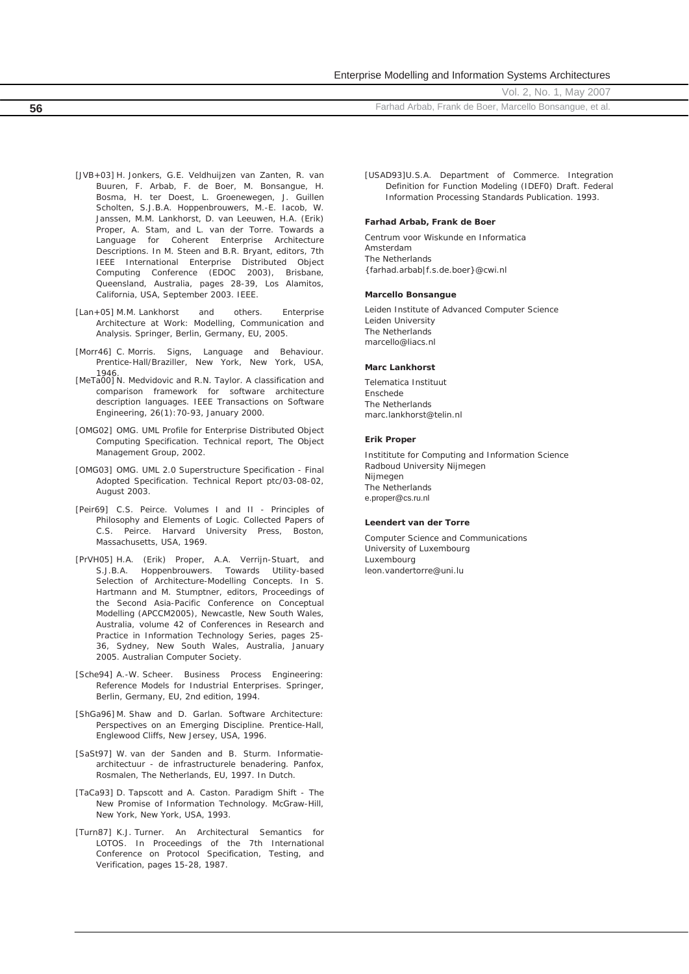Enterprise Modelling and Information Systems Architectures

Vol. 2, No. 1, May 2007

**56** Farhad Arbab, Frank de Boer, Marcello Bonsangue, et al.

- [JVB+03] H. Jonkers, G.E. Veldhuijzen van Zanten, R. van Buuren, F. Arbab, F. de Boer, M. Bonsangue, H. Bosma, H. ter Doest, L. Groenewegen, J. Guillen Scholten, S.J.B.A. Hoppenbrouwers, M.-E. Iacob, W. Janssen, M.M. Lankhorst, D. van Leeuwen, H.A. (Erik) Proper, A. Stam, and L. van der Torre. Towards a Language for Coherent Enterprise Architecture Descriptions. In M. Steen and B.R. Bryant, editors, *7th IEEE International Enterprise Distributed Object Computing Conference (EDOC 2003), Brisbane, Queensland, Australia*, pages 28-39, Los Alamitos, California, USA, September 2003. IEEE.
- [Lan+05] M.M. Lankhorst and others. *Enterprise Architecture at Work: Modelling, Communication and Analysis*. Springer, Berlin, Germany, EU, 2005.
- [Morr46] C. Morris. *Signs, Language and Behaviour*. Prentice-Hall/Braziller, New York, New York, USA,
- 1946. [MeTa00] N. Medvidovic and R.N. Taylor. A classification and comparison framework for software architecture description languages. *IEEE Transactions on Software Engineering*, 26(1):70-93, January 2000.
- [OMG02] OMG. UML Profile for Enterprise Distributed Object Computing Specification. Technical report, The Object Management Group, 2002.
- [OMG03] OMG. UML 2.0 Superstructure Specification Final Adopted Specification. Technical Report ptc/03-08-02, August 2003.
- [Peir69] C.S. Peirce. *Volumes I and II Principles of Philosophy and Elements of Logic*. Collected Papers of C.S. Peirce. Harvard University Press, Boston, Massachusetts, USA, 1969.
- [PrVH05] H.A. (Erik) Proper, A.A. Verrijn-Stuart, and S.J.B.A. Hoppenbrouwers. Towards Utility-based Selection of Architecture-Modelling Concepts. In S. Hartmann and M. Stumptner, editors, *Proceedings of the Second Asia-Pacific Conference on Conceptual Modelling (APCCM2005), Newcastle, New South Wales, Australia*, volume 42 of *Conferences in Research and Practice in Information Technology Series*, pages 25- 36, Sydney, New South Wales, Australia, January 2005. Australian Computer Society.
- [Sche94] A.-W. Scheer. *Business Process Engineering: Reference Models for Industrial Enterprises*. Springer, Berlin, Germany, EU, 2nd edition, 1994.
- [ShGa96] M. Shaw and D. Garlan. *Software Architecture: Perspectives on an Emerging Discipline*. Prentice-Hall, Englewood Cliffs, New Jersey, USA, 1996.
- [SaSt97] W. van der Sanden and B. Sturm. *Informatiearchitectuur - de infrastructurele benadering*. Panfox, Rosmalen, The Netherlands, EU, 1997. In Dutch.
- [TaCa93] D. Tapscott and A. Caston. *Paradigm Shift The New Promise of Information Technology*. McGraw-Hill, New York, New York, USA, 1993.
- [Turn87] K.J. Turner. An Architectural Semantics for LOTOS. In *Proceedings of the 7th International Conference on Protocol Specification, Testing, and Verification*, pages 15-28, 1987.

[USAD93] U.S.A. Department of Commerce. *Integration Definition for Function Modeling (IDEF0) Draft*. Federal Information Processing Standards Publication. 1993.

#### **Farhad Arbab, Frank de Boer**

Centrum voor Wiskunde en Informatica Amsterdam The Netherlands {farhad.arbab|f.s.de.boer}@cwi.nl

#### **Marcello Bonsangue**

Leiden Institute of Advanced Computer Science Leiden University The Netherlands marcello@liacs.nl

#### **Marc Lankhorst**

Telematica Instituut Enschede The Netherlands marc.lankhorst@telin.nl

#### **Erik Proper**

Instititute for Computing and Information Science Radboud University Nijmegen Nijmegen The Netherlands e.proper@cs.ru.nl

#### **Leendert van der Torre**

Computer Science and Communications University of Luxembourg Luxembourg leon.vandertorre@uni.lu